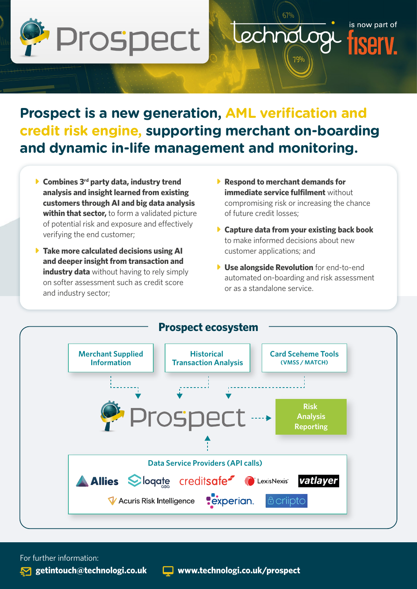

# **Prospect is a new generation, AML verification and credit risk engine, supporting merchant on-boarding and dynamic in-life management and monitoring.**

- ▶ Combines 3<sup>rd</sup> party data, industry trend **analysis and insight learned from existing customers through AI and big data analysis within that sector,** to form a validated picture of potential risk and exposure and effectively verifying the end customer;
- **Fake more calculated decisions using AI and deeper insight from transaction and industry data** without having to rely simply on softer assessment such as credit score and industry sector;
- ▶ Respond to merchant demands for **immediate service fulfilment** without compromising risk or increasing the chance of future credit losses;

Lechnolog

is now part of

- **Capture data from your existing back book** to make informed decisions about new customer applications; and
- **L** Use alongside Revolution for end-to-end automated on-boarding and risk assessment or as a standalone service.



For further information: